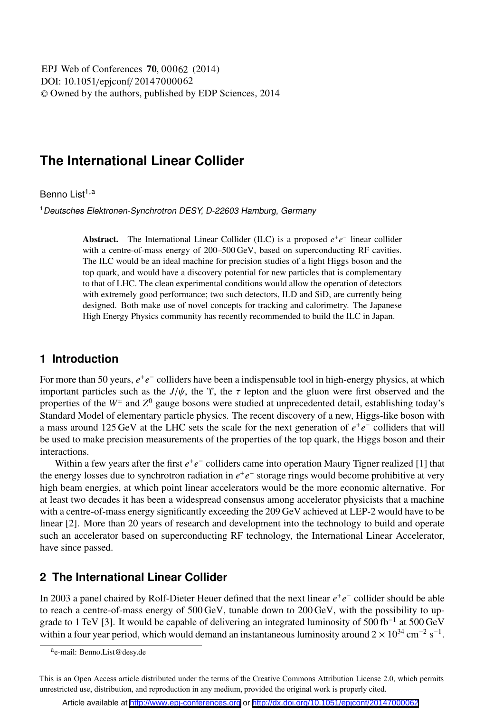DOI: 10.1051/epjconf/ 20147000062 -<sup>C</sup> Owned by the authors, published by EDP Sciences, 2014 EPJ Web of Conferences **70**, 00062 (2014)

# **The International Linear Collider**

### Benno List<sup>1,a</sup>

<sup>1</sup> Deutsches Elektronen-Synchrotron DESY, D-22603 Hamburg, Germany

Abstract. The International Linear Collider (ILC) is a proposed *<sup>e</sup>*<sup>+</sup>*e*<sup>−</sup> linear collider with a centre-of-mass energy of 200–500 GeV, based on superconducting RF cavities. The ILC would be an ideal machine for precision studies of a light Higgs boson and the top quark, and would have a discovery potential for new particles that is complementary to that of LHC. The clean experimental conditions would allow the operation of detectors with extremely good performance; two such detectors, ILD and SiD, are currently being designed. Both make use of novel concepts for tracking and calorimetry. The Japanese High Energy Physics community has recently recommended to build the ILC in Japan.

# **1 Introduction**

For more than 50 years, *e*<sup>+</sup>*e*<sup>−</sup> colliders have been a indispensable tool in high-energy physics, at which important particles such as the  $J/\psi$ , the  $\gamma$ , the  $\tau$  lepton and the gluon were first observed and the properties of the  $W^{\pm}$  and  $Z^{0}$  gauge bosons were studied at unprecedented detail, establishing today's Standard Model of elementary particle physics. The recent discovery of a new, Higgs-like boson with a mass around 125 GeV at the LHC sets the scale for the next generation of *e*<sup>+</sup>*e*<sup>−</sup> colliders that will be used to make precision measurements of the properties of the top quark, the Higgs boson and their interactions.

Within a few years after the first *e*<sup>+</sup>*e*<sup>−</sup> colliders came into operation Maury Tigner realized [1] that the energy losses due to synchrotron radiation in *e*<sup>+</sup>*e*<sup>−</sup> storage rings would become prohibitive at very high beam energies, at which point linear accelerators would be the more economic alternative. For at least two decades it has been a widespread consensus among accelerator physicists that a machine with a centre-of-mass energy significantly exceeding the 209 GeV achieved at LEP-2 would have to be linear [2]. More than 20 years of research and development into the technology to build and operate such an accelerator based on superconducting RF technology, the International Linear Accelerator, have since passed.

# **2 The International Linear Collider**

In 2003 a panel chaired by Rolf-Dieter Heuer defined that the next linear *e*<sup>+</sup>*e*<sup>−</sup> collider should be able to reach a centre-of-mass energy of 500 GeV, tunable down to 200 GeV, with the possibility to upgrade to 1 TeV [3]. It would be capable of delivering an integrated luminosity of 500 fb<sup>-1</sup> at 500 GeV within a four year period, which would demand an instantaneous luminosity around  $2 \times 10^{34}$  cm<sup>-2</sup> s<sup>-1</sup>.

ae-mail: Benno.List@desy.de

This is an Open Access article distributed under the terms of the Creative Commons Attribution License 2.0, which permits unrestricted use, distribution, and reproduction in any medium, provided the original work is properly cited.

Article available at <http://www.epj-conferences.org> or <http://dx.doi.org/10.1051/epjconf/20147000062>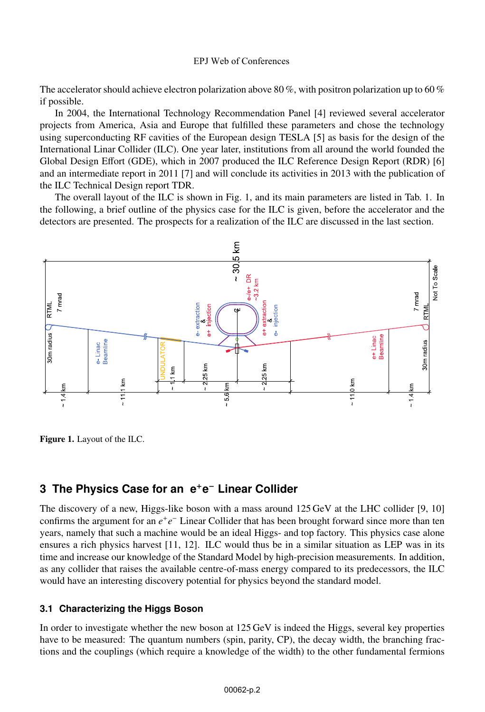The accelerator should achieve electron polarization above 80 %, with positron polarization up to 60 % if possible.

In 2004, the International Technology Recommendation Panel [4] reviewed several accelerator projects from America, Asia and Europe that fulfilled these parameters and chose the technology using superconducting RF cavities of the European design TESLA [5] as basis for the design of the International Linar Collider (ILC). One year later, institutions from all around the world founded the Global Design Effort (GDE), which in 2007 produced the ILC Reference Design Report (RDR) [6] and an intermediate report in 2011 [7] and will conclude its activities in 2013 with the publication of the ILC Technical Design report TDR.

The overall layout of the ILC is shown in Fig. 1, and its main parameters are listed in Tab. 1. In the following, a brief outline of the physics case for the ILC is given, before the accelerator and the detectors are presented. The prospects for a realization of the ILC are discussed in the last section.



Figure 1. Layout of the ILC.

# **3 The Physics Case for an e**+**e**<sup>−</sup> **Linear Collider**

The discovery of a new, Higgs-like boson with a mass around 125 GeV at the LHC collider [9, 10] confirms the argument for an *e*<sup>+</sup>*e*<sup>−</sup> Linear Collider that has been brought forward since more than ten years, namely that such a machine would be an ideal Higgs- and top factory. This physics case alone ensures a rich physics harvest [11, 12]. ILC would thus be in a similar situation as LEP was in its time and increase our knowledge of the Standard Model by high-precision measurements. In addition, as any collider that raises the available centre-of-mass energy compared to its predecessors, the ILC would have an interesting discovery potential for physics beyond the standard model.

# **3.1 Characterizing the Higgs Boson**

In order to investigate whether the new boson at 125 GeV is indeed the Higgs, several key properties have to be measured: The quantum numbers (spin, parity, CP), the decay width, the branching fractions and the couplings (which require a knowledge of the width) to the other fundamental fermions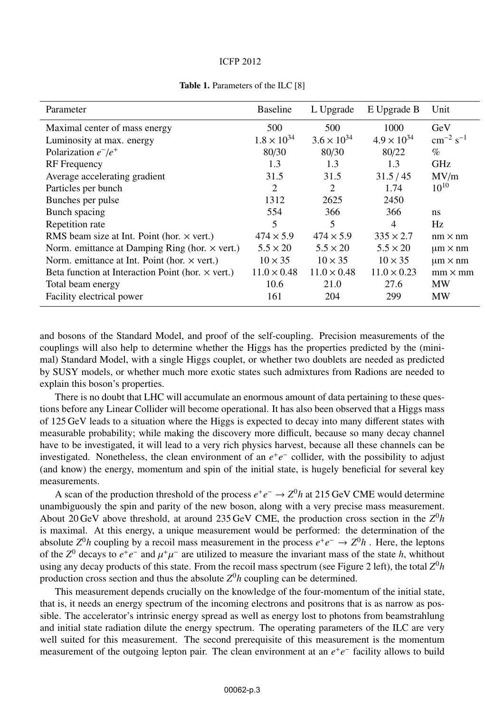Table 1. Parameters of the ILC [8]

| Parameter                                                | <b>Baseline</b>      | L Upgrade            | E Upgrade B          | Unit                |
|----------------------------------------------------------|----------------------|----------------------|----------------------|---------------------|
| Maximal center of mass energy                            | 500                  | 500                  | 1000                 | GeV                 |
| Luminosity at max. energy                                | $1.8 \times 10^{34}$ | $3.6 \times 10^{34}$ | $4.9 \times 10^{34}$ | $cm^{-2} s^{-1}$    |
| Polarization $e^-/e^+$                                   | 80/30                | 80/30                | 80/22                | $\%$                |
| <b>RF</b> Frequency                                      | 1.3                  | 1.3                  | 1.3                  | <b>GHz</b>          |
| Average accelerating gradient                            | 31.5                 | 31.5                 | 31.5 / 45            | MV/m                |
| Particles per bunch                                      | 2                    | 2                    | 1.74                 | $10^{10}$           |
| Bunches per pulse                                        | 1312                 | 2625                 | 2450                 |                     |
| Bunch spacing                                            | 554                  | 366                  | 366                  | ns                  |
| Repetition rate                                          | 5                    | 5                    | 4                    | Hz                  |
| RMS beam size at Int. Point (hor. $\times$ vert.)        | $474 \times 5.9$     | $474 \times 5.9$     | $335 \times 2.7$     | $nm \times nm$      |
| Norm. emittance at Damping Ring (hor. $\times$ vert.)    | $5.5 \times 20$      | $5.5 \times 20$      | $5.5 \times 20$      | $\mu$ m $\times$ nm |
| Norm. emittance at Int. Point (hor. $\times$ vert.)      | $10 \times 35$       | $10 \times 35$       | $10 \times 35$       | $\mu$ m $\times$ nm |
| Beta function at Interaction Point (hor. $\times$ vert.) | $11.0 \times 0.48$   | $11.0 \times 0.48$   | $11.0 \times 0.23$   | $mm \times mm$      |
| Total beam energy                                        | 10.6                 | 21.0                 | 27.6                 | <b>MW</b>           |
| Facility electrical power                                | 161                  | 204                  | 299                  | <b>MW</b>           |

and bosons of the Standard Model, and proof of the self-coupling. Precision measurements of the couplings will also help to determine whether the Higgs has the properties predicted by the (minimal) Standard Model, with a single Higgs couplet, or whether two doublets are needed as predicted by SUSY models, or whether much more exotic states such admixtures from Radions are needed to explain this boson's properties.

There is no doubt that LHC will accumulate an enormous amount of data pertaining to these questions before any Linear Collider will become operational. It has also been observed that a Higgs mass of 125 GeV leads to a situation where the Higgs is expected to decay into many different states with measurable probability; while making the discovery more difficult, because so many decay channel have to be investigated, it will lead to a very rich physics harvest, because all these channels can be investigated. Nonetheless, the clean environment of an  $e^+e^-$  collider, with the possibility to adjust (and know) the energy, momentum and spin of the initial state, is hugely beneficial for several key measurements.

A scan of the production threshold of the process  $e^+e^- \rightarrow Z^0 h$  at 215 GeV CME would determine unambiguously the spin and parity of the new boson, along with a very precise mass measurement. About 20 GeV above threshold, at around 235 GeV CME, the production cross section in the  $Z^0h$ is maximal. At this energy, a unique measurement would be performed: the determination of the absolute  $Z^0h$  coupling by a recoil mass measurement in the process  $e^+e^- \to Z^0h$ . Here, the leptons of the  $Z^0$  decays to  $e^+e^-$  and  $\mu^+\mu^-$  are utilized to measure the invariant mass of the state *h*, whithout using any decay products of this state. From the recoil mass spectrum (see Figure 2 left), the total  $Z^0h$ production cross section and thus the absolute  $Z^0h$  coupling can be determined.

This measurement depends crucially on the knowledge of the four-momentum of the initial state, that is, it needs an energy spectrum of the incoming electrons and positrons that is as narrow as possible. The accelerator's intrinsic energy spread as well as energy lost to photons from beamstrahlung and initial state radiation dilute the energy spectrum. The operating parameters of the ILC are very well suited for this measurement. The second prerequisite of this measurement is the momentum measurement of the outgoing lepton pair. The clean environment at an *e*<sup>+</sup>*e*<sup>−</sup> facility allows to build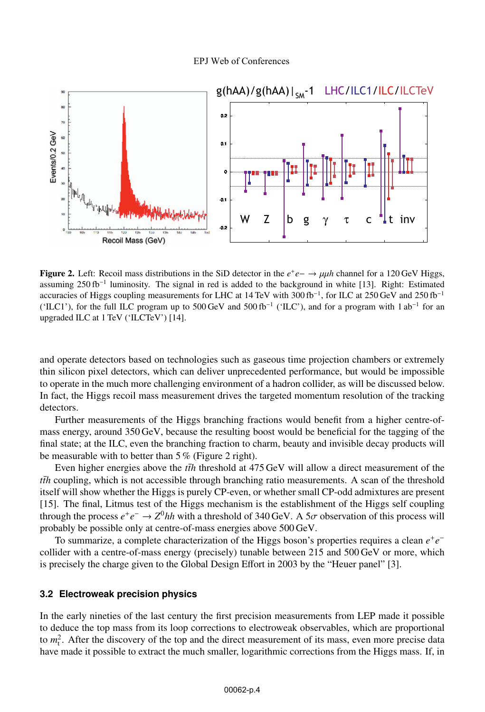

Figure 2. Left: Recoil mass distributions in the SiD detector in the  $e^+e^- \to \mu\mu h$  channel for a 120 GeV Higgs, assuming 250 fb−<sup>1</sup> luminosity. The signal in red is added to the background in white [13]. Right: Estimated accuracies of Higgs coupling measurements for LHC at 14 TeV with 300 fb−1, for ILC at 250 GeV and 250 fb−<sup>1</sup> ('ILC1'), for the full ILC program up to 500 GeV and 500 fb<sup>-1</sup> ('ILC'), and for a program with  $1 ab^{-1}$  for an upgraded ILC at 1 TeV ('ILCTeV') [14].

and operate detectors based on technologies such as gaseous time projection chambers or extremely thin silicon pixel detectors, which can deliver unprecedented performance, but would be impossible to operate in the much more challenging environment of a hadron collider, as will be discussed below. In fact, the Higgs recoil mass measurement drives the targeted momentum resolution of the tracking detectors.

Further measurements of the Higgs branching fractions would benefit from a higher centre-ofmass energy, around 350 GeV, because the resulting boost would be beneficial for the tagging of the final state; at the ILC, even the branching fraction to charm, beauty and invisible decay products will be measurable with to better than 5 % (Figure 2 right).

Even higher energies above the  $t\bar{t}h$  threshold at 475 GeV will allow a direct measurement of the *tth* coupling, which is not accessible through branching ratio measurements. A scan of the threshold itself will show whether the Higgs is purely CP-even, or whether small CP-odd admixtures are present [15]. The final, Litmus test of the Higgs mechanism is the establishment of the Higgs self coupling through the process  $e^+e^- \to Z^0 h h$  with a threshold of 340 GeV. A 5 $\sigma$  observation of this process will probably be possible only at centre-of-mass energies above 500 GeV.

To summarize, a complete characterization of the Higgs boson's properties requires a clean *e*<sup>+</sup>*e*<sup>−</sup> collider with a centre-of-mass energy (precisely) tunable between 215 and 500 GeV or more, which is precisely the charge given to the Global Design Effort in 2003 by the "Heuer panel" [3].

### **3.2 Electroweak precision physics**

In the early nineties of the last century the first precision measurements from LEP made it possible to deduce the top mass from its loop corrections to electroweak observables, which are proportional to  $m_t^2$ . After the discovery of the top and the direct measurement of its mass, even more precise data have made it possible to extract the much smaller, logarithmic corrections from the Higgs mass. If, in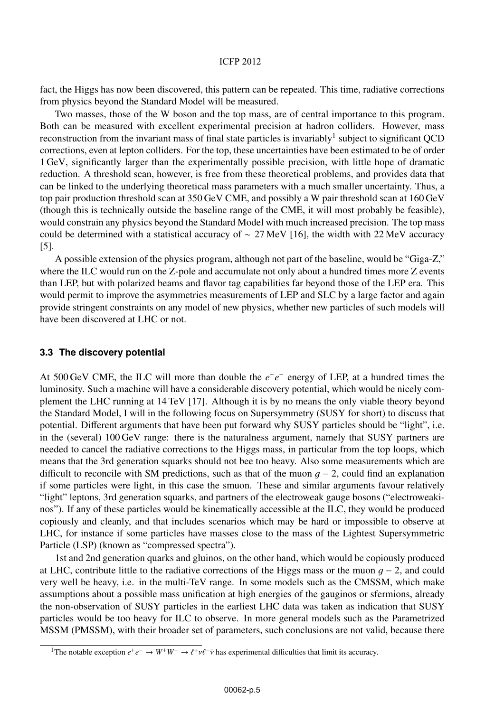fact, the Higgs has now been discovered, this pattern can be repeated. This time, radiative corrections from physics beyond the Standard Model will be measured.

Two masses, those of the W boson and the top mass, are of central importance to this program. Both can be measured with excellent experimental precision at hadron colliders. However, mass reconstruction from the invariant mass of final state particles is invariably<sup>1</sup> subject to significant QCD corrections, even at lepton colliders. For the top, these uncertainties have been estimated to be of order 1 GeV, significantly larger than the experimentally possible precision, with little hope of dramatic reduction. A threshold scan, however, is free from these theoretical problems, and provides data that can be linked to the underlying theoretical mass parameters with a much smaller uncertainty. Thus, a top pair production threshold scan at 350 GeV CME, and possibly a W pair threshold scan at 160 GeV (though this is technically outside the baseline range of the CME, it will most probably be feasible), would constrain any physics beyond the Standard Model with much increased precision. The top mass could be determined with a statistical accuracy of ∼ 27 MeV [16], the width with 22 MeV accuracy [5].

A possible extension of the physics program, although not part of the baseline, would be "Giga-Z," where the ILC would run on the Z-pole and accumulate not only about a hundred times more Z events than LEP, but with polarized beams and flavor tag capabilities far beyond those of the LEP era. This would permit to improve the asymmetries measurements of LEP and SLC by a large factor and again provide stringent constraints on any model of new physics, whether new particles of such models will have been discovered at LHC or not.

#### **3.3 The discovery potential**

At 500 GeV CME, the ILC will more than double the *e*<sup>+</sup>*e*<sup>−</sup> energy of LEP, at a hundred times the luminosity. Such a machine will have a considerable discovery potential, which would be nicely complement the LHC running at 14 TeV [17]. Although it is by no means the only viable theory beyond the Standard Model, I will in the following focus on Supersymmetry (SUSY for short) to discuss that potential. Different arguments that have been put forward why SUSY particles should be "light", i.e. in the (several) 100 GeV range: there is the naturalness argument, namely that SUSY partners are needed to cancel the radiative corrections to the Higgs mass, in particular from the top loops, which means that the 3rd generation squarks should not bee too heavy. Also some measurements which are difficult to reconcile with SM predictions, such as that of the muon  $q - 2$ , could find an explanation if some particles were light, in this case the smuon. These and similar arguments favour relatively "light" leptons, 3rd generation squarks, and partners of the electroweak gauge bosons ("electroweakinos"). If any of these particles would be kinematically accessible at the ILC, they would be produced copiously and cleanly, and that includes scenarios which may be hard or impossible to observe at LHC, for instance if some particles have masses close to the mass of the Lightest Supersymmetric Particle (LSP) (known as "compressed spectra").

1st and 2nd generation quarks and gluinos, on the other hand, which would be copiously produced at LHC, contribute little to the radiative corrections of the Higgs mass or the muon  $g - 2$ , and could very well be heavy, i.e. in the multi-TeV range. In some models such as the CMSSM, which make assumptions about a possible mass unification at high energies of the gauginos or sfermions, already the non-observation of SUSY particles in the earliest LHC data was taken as indication that SUSY particles would be too heavy for ILC to observe. In more general models such as the Parametrized MSSM (PMSSM), with their broader set of parameters, such conclusions are not valid, because there

<sup>&</sup>lt;sup>1</sup>The notable exception  $e^+e^- \to W^+W^- \to \ell^+\nu\ell^-\bar{\nu}$  has experimental difficulties that limit its accuracy.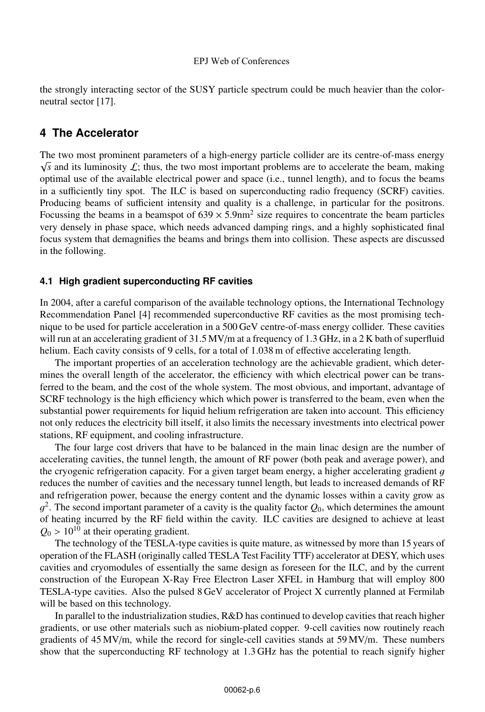the strongly interacting sector of the SUSY particle spectrum could be much heavier than the colorneutral sector [17].

# **4 The Accelerator**

The two most prominent parameters of a high-energy particle collider are its centre-of-mass energy  $\sqrt{s}$  and its luminosity  $\mathcal{L}$ ; thus, the two most important problems are to accelerate the beam, making optimal use of the available electrical power and space (i.e., tunnel length), and to focus the beams in a sufficiently tiny spot. The ILC is based on superconducting radio frequency (SCRF) cavities. Producing beams of sufficient intensity and quality is a challenge, in particular for the positrons. Focussing the beams in a beamspot of  $639 \times 5.9$  and  $m^2$  size requires to concentrate the beam particles very densely in phase space, which needs advanced damping rings, and a highly sophisticated final focus system that demagnifies the beams and brings them into collision. These aspects are discussed in the following.

### **4.1 High gradient superconducting RF cavities**

In 2004, after a careful comparison of the available technology options, the International Technology Recommendation Panel [4] recommended superconductive RF cavities as the most promising technique to be used for particle acceleration in a 500 GeV centre-of-mass energy collider. These cavities will run at an accelerating gradient of 31.5 MV/m at a frequency of 1.3 GHz, in a 2 K bath of superfluid helium. Each cavity consists of 9 cells, for a total of 1.038 m of effective accelerating length.

The important properties of an acceleration technology are the achievable gradient, which determines the overall length of the accelerator, the efficiency with which electrical power can be transferred to the beam, and the cost of the whole system. The most obvious, and important, advantage of SCRF technology is the high efficiency which which power is transferred to the beam, even when the substantial power requirements for liquid helium refrigeration are taken into account. This efficiency not only reduces the electricity bill itself, it also limits the necessary investments into electrical power stations, RF equipment, and cooling infrastructure.

The four large cost drivers that have to be balanced in the main linac design are the number of accelerating cavities, the tunnel length, the amount of RF power (both peak and average power), and the cryogenic refrigeration capacity. For a given target beam energy, a higher accelerating gradient  $q$ reduces the number of cavities and the necessary tunnel length, but leads to increased demands of RF and refrigeration power, because the energy content and the dynamic losses within a cavity grow as  $g^2$ . The second important parameter of a cavity is the quality factor  $Q_0$ , which determines the amount of heating incurred by the RF field within the cavity. ILC cavities are designed to achieve at least  $Q_0 > 10^{10}$  at their operating gradient.

The technology of the TESLA-type cavities is quite mature, as witnessed by more than 15 years of operation of the FLASH (originally called TESLA Test Facility TTF) accelerator at DESY, which uses cavities and cryomodules of essentially the same design as foreseen for the ILC, and by the current construction of the European X-Ray Free Electron Laser XFEL in Hamburg that will employ 800 TESLA-type cavities. Also the pulsed 8 GeV accelerator of Project X currently planned at Fermilab will be based on this technology.

In parallel to the industrialization studies, R&D has continued to develop cavities that reach higher gradients, or use other materials such as niobium-plated copper. 9-cell cavities now routinely reach gradients of 45 MV/m, while the record for single-cell cavities stands at 59 MV/m. These numbers show that the superconducting RF technology at 1.3 GHz has the potential to reach signify higher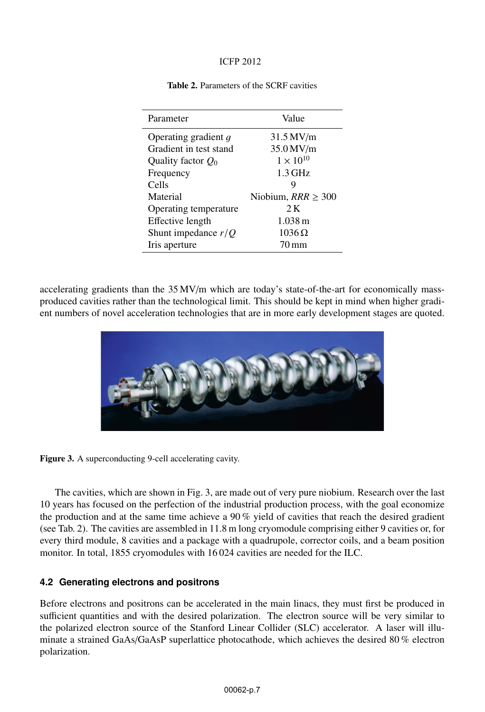| Parameter              | Value                   |  |  |
|------------------------|-------------------------|--|--|
| Operating gradient $q$ | $31.5$ MV/m             |  |  |
| Gradient in test stand | 35.0 MV/m               |  |  |
| Quality factor $Q_0$   | $1 \times 10^{10}$      |  |  |
| Frequency              | $1.3$ GHz               |  |  |
| Cells                  |                         |  |  |
| Material               | Niobium, $RRR \geq 300$ |  |  |
| Operating temperature  | 2K                      |  |  |
| Effective length       | $1.038 \text{ m}$       |  |  |
| Shunt impedance $r/Q$  | $1036\,\Omega$          |  |  |
| Iris aperture          | 70 mm                   |  |  |

Table 2. Parameters of the SCRF cavities

accelerating gradients than the 35 MV/m which are today's state-of-the-art for economically massproduced cavities rather than the technological limit. This should be kept in mind when higher gradient numbers of novel acceleration technologies that are in more early development stages are quoted.



Figure 3. A superconducting 9-cell accelerating cavity.

The cavities, which are shown in Fig. 3, are made out of very pure niobium. Research over the last 10 years has focused on the perfection of the industrial production process, with the goal economize the production and at the same time achieve a 90 % yield of cavities that reach the desired gradient (see Tab. 2). The cavities are assembled in 11.8 m long cryomodule comprising either 9 cavities or, for every third module, 8 cavities and a package with a quadrupole, corrector coils, and a beam position monitor. In total, 1855 cryomodules with 16 024 cavities are needed for the ILC.

### **4.2 Generating electrons and positrons**

Before electrons and positrons can be accelerated in the main linacs, they must first be produced in sufficient quantities and with the desired polarization. The electron source will be very similar to the polarized electron source of the Stanford Linear Collider (SLC) accelerator. A laser will illuminate a strained GaAs/GaAsP superlattice photocathode, which achieves the desired 80 % electron polarization.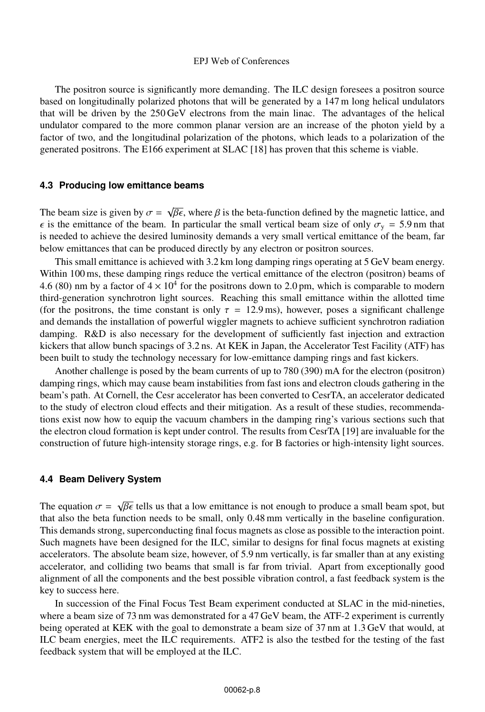The positron source is significantly more demanding. The ILC design foresees a positron source based on longitudinally polarized photons that will be generated by a 147 m long helical undulators that will be driven by the 250 GeV electrons from the main linac. The advantages of the helical undulator compared to the more common planar version are an increase of the photon yield by a factor of two, and the longitudinal polarization of the photons, which leads to a polarization of the generated positrons. The E166 experiment at SLAC [18] has proven that this scheme is viable.

### **4.3 Producing low emittance beams**

The beam size is given by  $\sigma = \sqrt{\beta \epsilon}$ , where  $\beta$  is the beta-function defined by the magnetic lattice, and  $\epsilon$  is the emittance of the beam. In particular the small vertical beam size of only  $\sigma = 5.9$  nm that  $\epsilon$  is the emittance of the beam. In particular the small vertical beam size of only  $\sigma_y = 5.9$  nm that is needed to achieve the desired luminosity demands a very small vertical emittance of the beam, far below emittances that can be produced directly by any electron or positron sources.

This small emittance is achieved with 3.2 km long damping rings operating at 5 GeV beam energy. Within 100 ms, these damping rings reduce the vertical emittance of the electron (positron) beams of 4.6 (80) nm by a factor of  $4 \times 10^4$  for the positrons down to 2.0 pm, which is comparable to modern third-generation synchrotron light sources. Reaching this small emittance within the allotted time (for the positrons, the time constant is only  $\tau = 12.9$  ms), however, poses a significant challenge and demands the installation of powerful wiggler magnets to achieve sufficient synchrotron radiation damping. R&D is also necessary for the development of sufficiently fast injection and extraction kickers that allow bunch spacings of 3.2 ns. At KEK in Japan, the Accelerator Test Facility (ATF) has been built to study the technology necessary for low-emittance damping rings and fast kickers.

Another challenge is posed by the beam currents of up to 780 (390) mA for the electron (positron) damping rings, which may cause beam instabilities from fast ions and electron clouds gathering in the beam's path. At Cornell, the Cesr accelerator has been converted to CesrTA, an accelerator dedicated to the study of electron cloud effects and their mitigation. As a result of these studies, recommendations exist now how to equip the vacuum chambers in the damping ring's various sections such that the electron cloud formation is kept under control. The results from CesrTA [19] are invaluable for the construction of future high-intensity storage rings, e.g. for B factories or high-intensity light sources.

### **4.4 Beam Delivery System**

The equation  $\sigma = \sqrt{\beta \epsilon}$  tells us that a low emittance is not enough to produce a small beam spot, but that also the beta function needs to be small, only 0.48 mm vertically in the baseline configuration. that also the beta function needs to be small, only 0.48 mm vertically in the baseline configuration. This demands strong, superconducting final focus magnets as close as possible to the interaction point. Such magnets have been designed for the ILC, similar to designs for final focus magnets at existing accelerators. The absolute beam size, however, of 5.9 nm vertically, is far smaller than at any existing accelerator, and colliding two beams that small is far from trivial. Apart from exceptionally good alignment of all the components and the best possible vibration control, a fast feedback system is the key to success here.

In succession of the Final Focus Test Beam experiment conducted at SLAC in the mid-nineties, where a beam size of 73 nm was demonstrated for a 47 GeV beam, the ATF-2 experiment is currently being operated at KEK with the goal to demonstrate a beam size of 37 nm at 1.3 GeV that would, at ILC beam energies, meet the ILC requirements. ATF2 is also the testbed for the testing of the fast feedback system that will be employed at the ILC.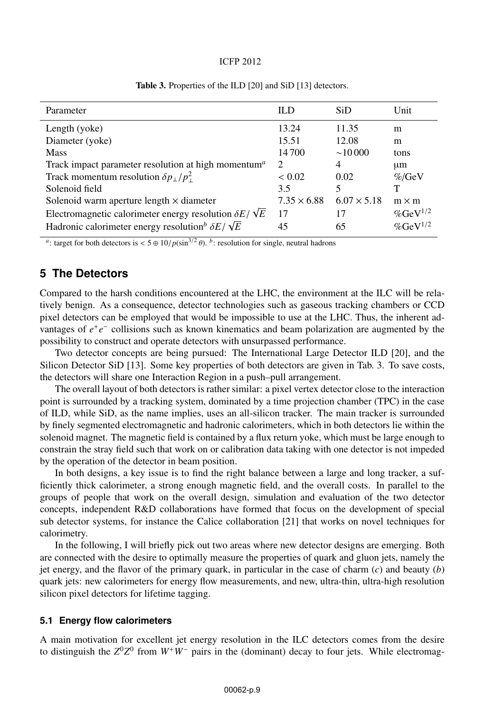| Parameter                                                                    | IL D               | SiD                | Unit                 |  |  |  |
|------------------------------------------------------------------------------|--------------------|--------------------|----------------------|--|--|--|
| Length (yoke)                                                                | 13.24              | 11.35              | m                    |  |  |  |
| Diameter (yoke)                                                              | 15.51              | 12.08              | m                    |  |  |  |
| <b>Mass</b>                                                                  | 14 700             | $\sim$ 10 000      | tons                 |  |  |  |
| Track impact parameter resolution at high momentum <sup><math>a</math></sup> | 2                  | 4                  | μm                   |  |  |  |
| Track momentum resolution $\delta p_{\perp}/p_{\perp}^2$                     | ${}< 0.02$         | 0.02               | $%$ /GeV             |  |  |  |
| Solenoid field                                                               | 3.5                | 5                  | т                    |  |  |  |
| Solenoid warm aperture length $\times$ diameter                              | $7.35 \times 6.88$ | $6.07 \times 5.18$ | $m \times m$         |  |  |  |
| Electromagnetic calorimeter energy resolution $\delta E / \sqrt{E}$          | 17                 | 17                 | $%GeV^{1/2}$         |  |  |  |
| Hadronic calorimeter energy resolution <sup>b</sup> $\delta E / \sqrt{E}$    | 45                 | 65                 | % GeV <sup>1/2</sup> |  |  |  |
| 212<br>$\mathbf{z}$                                                          |                    |                    |                      |  |  |  |

### Table 3. Properties of the ILD [20] and SiD [13] detectors.

*a*: target for both detectors is  $<$  5  $\oplus$  10/*p*(sin<sup>3/2</sup>  $\theta$ ). <sup>*b*</sup>: resolution for single, neutral hadrons

# **5 The Detectors**

Compared to the harsh conditions encountered at the LHC, the environment at the ILC will be relatively benign. As a consequence, detector technologies such as gaseous tracking chambers or CCD pixel detectors can be employed that would be impossible to use at the LHC. Thus, the inherent advantages of *e*<sup>+</sup>*e*<sup>−</sup> collisions such as known kinematics and beam polarization are augmented by the possibility to construct and operate detectors with unsurpassed performance.

Two detector concepts are being pursued: The International Large Detector ILD [20], and the Silicon Detector SiD [13]. Some key properties of both detectors are given in Tab. 3. To save costs, the detectors will share one Interaction Region in a push–pull arrangement.

The overall layout of both detectors is rather similar: a pixel vertex detector close to the interaction point is surrounded by a tracking system, dominated by a time projection chamber (TPC) in the case of ILD, while SiD, as the name implies, uses an all-silicon tracker. The main tracker is surrounded by finely segmented electromagnetic and hadronic calorimeters, which in both detectors lie within the solenoid magnet. The magnetic field is contained by a flux return yoke, which must be large enough to constrain the stray field such that work on or calibration data taking with one detector is not impeded by the operation of the detector in beam position.

In both designs, a key issue is to find the right balance between a large and long tracker, a sufficiently thick calorimeter, a strong enough magnetic field, and the overall costs. In parallel to the groups of people that work on the overall design, simulation and evaluation of the two detector concepts, independent R&D collaborations have formed that focus on the development of special sub detector systems, for instance the Calice collaboration [21] that works on novel techniques for calorimetry.

In the following, I will briefly pick out two areas where new detector designs are emerging. Both are connected with the desire to optimally measure the properties of quark and gluon jets, namely the jet energy, and the flavor of the primary quark, in particular in the case of charm (*c*) and beauty (*b*) quark jets: new calorimeters for energy flow measurements, and new, ultra-thin, ultra-high resolution silicon pixel detectors for lifetime tagging.

### **5.1 Energy flow calorimeters**

A main motivation for excellent jet energy resolution in the ILC detectors comes from the desire to distinguish the  $Z^{0}Z^{0}$  from  $W^{+}W^{-}$  pairs in the (dominant) decay to four jets. While electromag-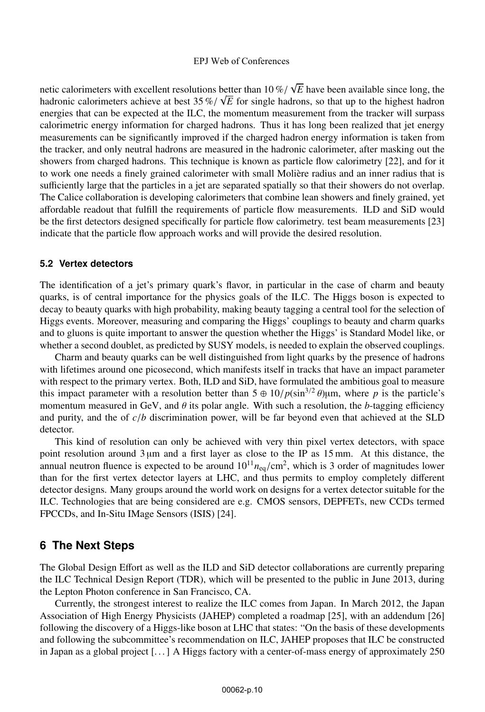netic calorimeters with excellent resolutions better than  $10\%/\sqrt{E}$  have been available since long, the hadronic calorimeters achieve at hest 35%/ $\sqrt{E}$  for single hadrons, so that up to the highest hadron hadronic calorimeters what exercise at best  $35\%/\sqrt{E}$  for single hadrons, so that up to the highest hadron energies that can be expected at the H C, the momentum measurement from the tracker will surpass energies that can be expected at the ILC, the momentum measurement from the tracker will surpass calorimetric energy information for charged hadrons. Thus it has long been realized that jet energy measurements can be significantly improved if the charged hadron energy information is taken from the tracker, and only neutral hadrons are measured in the hadronic calorimeter, after masking out the showers from charged hadrons. This technique is known as particle flow calorimetry [22], and for it to work one needs a finely grained calorimeter with small Molière radius and an inner radius that is sufficiently large that the particles in a jet are separated spatially so that their showers do not overlap. The Calice collaboration is developing calorimeters that combine lean showers and finely grained, yet affordable readout that fulfill the requirements of particle flow measurements. ILD and SiD would be the first detectors designed specifically for particle flow calorimetry. test beam measurements [23] indicate that the particle flow approach works and will provide the desired resolution.

### **5.2 Vertex detectors**

The identification of a jet's primary quark's flavor, in particular in the case of charm and beauty quarks, is of central importance for the physics goals of the ILC. The Higgs boson is expected to decay to beauty quarks with high probability, making beauty tagging a central tool for the selection of Higgs events. Moreover, measuring and comparing the Higgs' couplings to beauty and charm quarks and to gluons is quite important to answer the question whether the Higgs' is Standard Model like, or whether a second doublet, as predicted by SUSY models, is needed to explain the observed couplings.

Charm and beauty quarks can be well distinguished from light quarks by the presence of hadrons with lifetimes around one picosecond, which manifests itself in tracks that have an impact parameter with respect to the primary vertex. Both, ILD and SiD, have formulated the ambitious goal to measure this impact parameter with a resolution better than  $5 \oplus 10/p(\sin^{3/2} \theta)$ μm, where *p* is the particle's momentum measured in GeV, and  $\theta$  its polar angle. With such a resolution, the *b*-tagging efficiency and purity, and the of *<sup>c</sup>*/*<sup>b</sup>* discrimination power, will be far beyond even that achieved at the SLD detector.

This kind of resolution can only be achieved with very thin pixel vertex detectors, with space point resolution around  $3 \mu$ m and a first layer as close to the IP as 15 mm. At this distance, the annual neutron fluence is expected to be around  $10^{11}n_{eq}/\text{cm}^2$ , which is 3 order of magnitudes lower than for the first vertex detector layers at LHC, and thus permits to employ completely different detector designs. Many groups around the world work on designs for a vertex detector suitable for the ILC. Technologies that are being considered are e.g. CMOS sensors, DEPFETs, new CCDs termed FPCCDs, and In-Situ IMage Sensors (ISIS) [24].

# **6 The Next Steps**

The Global Design Effort as well as the ILD and SiD detector collaborations are currently preparing the ILC Technical Design Report (TDR), which will be presented to the public in June 2013, during the Lepton Photon conference in San Francisco, CA.

Currently, the strongest interest to realize the ILC comes from Japan. In March 2012, the Japan Association of High Energy Physicists (JAHEP) completed a roadmap [25], with an addendum [26] following the discovery of a Higgs-like boson at LHC that states: "On the basis of these developments and following the subcommittee's recommendation on ILC, JAHEP proposes that ILC be constructed in Japan as a global project [...] A Higgs factory with a center-of-mass energy of approximately 250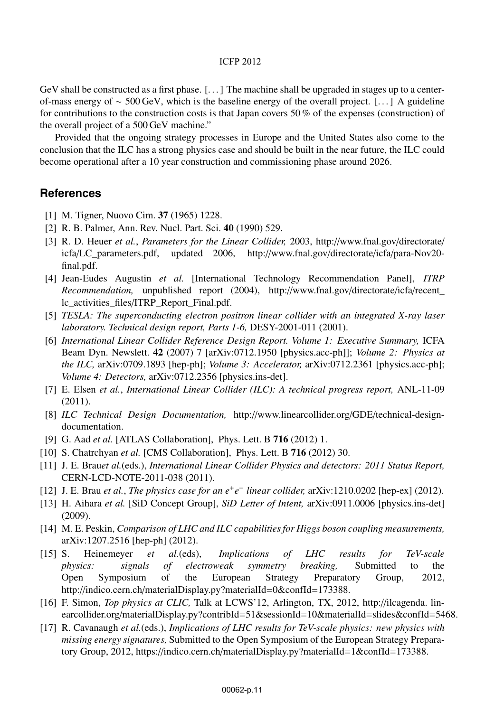GeV shall be constructed as a first phase. [. . . ] The machine shall be upgraded in stages up to a centerof-mass energy of ∼ 500 GeV, which is the baseline energy of the overall project. [...] A guideline for contributions to the construction costs is that Japan covers 50 % of the expenses (construction) of the overall project of a 500 GeV machine."

Provided that the ongoing strategy processes in Europe and the United States also come to the conclusion that the ILC has a strong physics case and should be built in the near future, the ILC could become operational after a 10 year construction and commissioning phase around 2026.

# **References**

- [1] M. Tigner, Nuovo Cim. **37** (1965) 1228.
- [2] R. B. Palmer, Ann. Rev. Nucl. Part. Sci. 40 (1990) 529.
- [3] R. D. Heuer *et al.*, *Parameters for the Linear Collider,* 2003, http://www.fnal.gov/directorate/ icfa/LC\_parameters.pdf, updated 2006, http://www.fnal.gov/directorate/icfa/para-Nov20 final.pdf.
- [4] Jean-Eudes Augustin *et al.* [International Technology Recommendation Panel], *ITRP Recommendation,* unpublished report (2004), http://www.fnal.gov/directorate/icfa/recent\_ lc\_activities\_files/ITRP\_Report\_Final.pdf.
- [5] *TESLA: The superconducting electron positron linear collider with an integrated X-ray laser laboratory. Technical design report, Parts 1-6,* DESY-2001-011 (2001).
- [6] *International Linear Collider Reference Design Report. Volume 1: Executive Summary,* ICFA Beam Dyn. Newslett. 42 (2007) 7 [arXiv:0712.1950 [physics.acc-ph]]; *Volume 2: Physics at the ILC,* arXiv:0709.1893 [hep-ph]; *Volume 3: Accelerator,* arXiv:0712.2361 [physics.acc-ph]; *Volume 4: Detectors,* arXiv:0712.2356 [physics.ins-det].
- [7] E. Elsen *et al.*, *International Linear Collider (ILC): A technical progress report,* ANL-11-09 (2011).
- [8] *ILC Technical Design Documentation,* http://www.linearcollider.org/GDE/technical-designdocumentation.
- [9] G. Aad *et al.* [ATLAS Collaboration], Phys. Lett. B 716 (2012) 1.
- [10] S. Chatrchyan *et al.* [CMS Collaboration], Phys. Lett. B 716 (2012) 30.
- [11] J. E. Brau*et al.*(eds.), *International Linear Collider Physics and detectors: 2011 Status Report,* CERN-LCD-NOTE-2011-038 (2011).
- [12] J. E. Brau *et al.*, *The physics case for an e*<sup>+</sup>*e*<sup>−</sup> *linear collider,* arXiv:1210.0202 [hep-ex] (2012).
- [13] H. Aihara *et al.* [SiD Concept Group], *SiD Letter of Intent,* arXiv:0911.0006 [physics.ins-det] (2009).
- [14] M. E. Peskin, *Comparison of LHC and ILC capabilities for Higgs boson coupling measurements,* arXiv:1207.2516 [hep-ph] (2012).
- [15] S. Heinemeyer *et al.*(eds), *Implications of LHC results for TeV-scale physics: signals of electroweak symmetry breaking,* Submitted to the Open Symposium of the European Strategy Preparatory Group, 2012, http://indico.cern.ch/materialDisplay.py?materialId=0&confId=173388.
- [16] F. Simon, *Top physics at CLIC,* Talk at LCWS'12, Arlington, TX, 2012, http://ilcagenda. linearcollider.org/materialDisplay.py?contribId=51&sessionId=10&materialId=slides&confId=5468.
- [17] R. Cavanaugh *et al.*(eds.), *Implications of LHC results for TeV-scale physics: new physics with missing energy signatures,* Submitted to the Open Symposium of the European Strategy Preparatory Group, 2012, https://indico.cern.ch/materialDisplay.py?materialId=1&confId=173388.